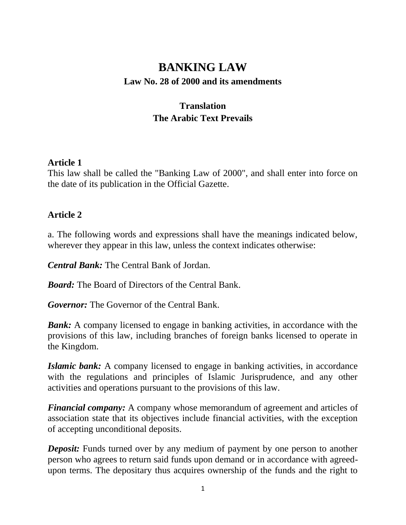# **BANKING LAW**

#### **Law No. 28 of 2000 and its amendments**

# **Translation The Arabic Text Prevails**

#### **Article 1**

This law shall be called the "Banking Law of 2000", and shall enter into force on the date of its publication in the Official Gazette.

#### **Article 2**

a. The following words and expressions shall have the meanings indicated below, wherever they appear in this law, unless the context indicates otherwise:

*Central Bank:* The Central Bank of Jordan.

*Board:* The Board of Directors of the Central Bank.

*Governor:* The Governor of the Central Bank.

*Bank:* A company licensed to engage in banking activities, in accordance with the provisions of this law, including branches of foreign banks licensed to operate in the Kingdom.

*Islamic bank:* A company licensed to engage in banking activities, in accordance with the regulations and principles of Islamic Jurisprudence, and any other activities and operations pursuant to the provisions of this law.

*Financial company:* A company whose memorandum of agreement and articles of association state that its objectives include financial activities, with the exception of accepting unconditional deposits.

*Deposit:* Funds turned over by any medium of payment by one person to another person who agrees to return said funds upon demand or in accordance with agreedupon terms. The depositary thus acquires ownership of the funds and the right to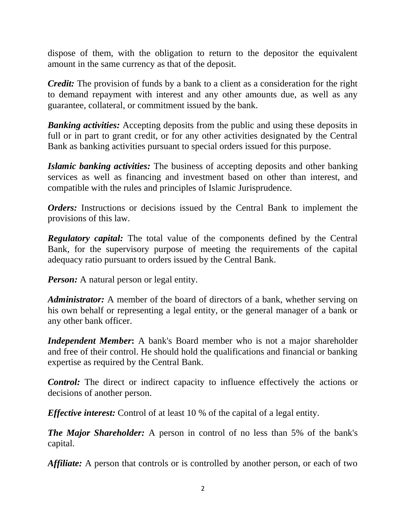dispose of them, with the obligation to return to the depositor the equivalent amount in the same currency as that of the deposit.

*Credit:* The provision of funds by a bank to a client as a consideration for the right to demand repayment with interest and any other amounts due, as well as any guarantee, collateral, or commitment issued by the bank.

*Banking activities:* Accepting deposits from the public and using these deposits in full or in part to grant credit, or for any other activities designated by the Central Bank as banking activities pursuant to special orders issued for this purpose.

*Islamic banking activities:* The business of accepting deposits and other banking services as well as financing and investment based on other than interest, and compatible with the rules and principles of Islamic Jurisprudence.

*Orders:* Instructions or decisions issued by the Central Bank to implement the provisions of this law.

*Regulatory capital:* The total value of the components defined by the Central Bank, for the supervisory purpose of meeting the requirements of the capital adequacy ratio pursuant to orders issued by the Central Bank.

*Person:* A natural person or legal entity.

*Administrator:* A member of the board of directors of a bank, whether serving on his own behalf or representing a legal entity, or the general manager of a bank or any other bank officer.

*Independent Member***:** A bank's Board member who is not a major shareholder and free of their control. He should hold the qualifications and financial or banking expertise as required by the Central Bank.

*Control:* The direct or indirect capacity to influence effectively the actions or decisions of another person.

*Effective interest:* Control of at least 10 % of the capital of a legal entity.

*The Major Shareholder:* A person in control of no less than 5% of the bank's capital.

*Affiliate:* A person that controls or is controlled by another person, or each of two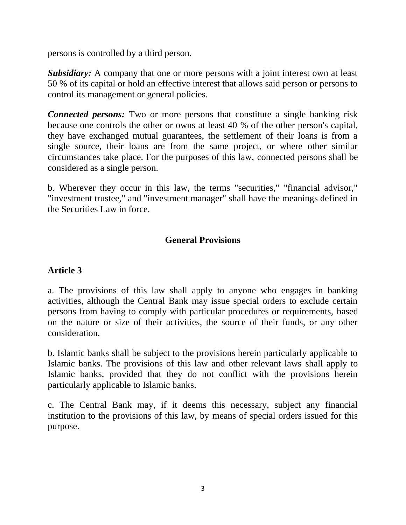persons is controlled by a third person.

*Subsidiary:* A company that one or more persons with a joint interest own at least 50 % of its capital or hold an effective interest that allows said person or persons to control its management or general policies.

*Connected persons:* Two or more persons that constitute a single banking risk because one controls the other or owns at least 40 % of the other person's capital, they have exchanged mutual guarantees, the settlement of their loans is from a single source, their loans are from the same project, or where other similar circumstances take place. For the purposes of this law, connected persons shall be considered as a single person.

b. Wherever they occur in this law, the terms "securities," "financial advisor," "investment trustee," and "investment manager" shall have the meanings defined in the Securities Law in force.

## **General Provisions**

#### **Article 3**

a. The provisions of this law shall apply to anyone who engages in banking activities, although the Central Bank may issue special orders to exclude certain persons from having to comply with particular procedures or requirements, based on the nature or size of their activities, the source of their funds, or any other consideration.

b. Islamic banks shall be subject to the provisions herein particularly applicable to Islamic banks. The provisions of this law and other relevant laws shall apply to Islamic banks, provided that they do not conflict with the provisions herein particularly applicable to Islamic banks.

c. The Central Bank may, if it deems this necessary, subject any financial institution to the provisions of this law, by means of special orders issued for this purpose.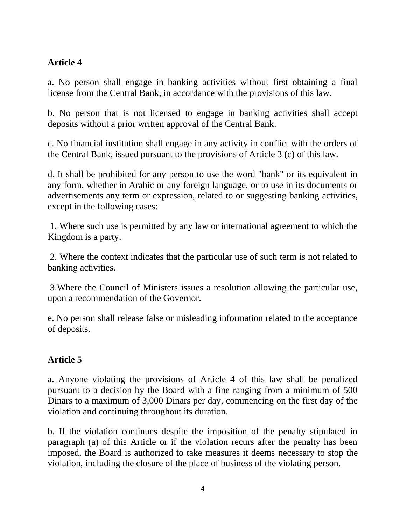## **Article 4**

a. No person shall engage in banking activities without first obtaining a final license from the Central Bank, in accordance with the provisions of this law.

b. No person that is not licensed to engage in banking activities shall accept deposits without a prior written approval of the Central Bank.

c. No financial institution shall engage in any activity in conflict with the orders of the Central Bank, issued pursuant to the provisions of Article 3 (c) of this law.

d. It shall be prohibited for any person to use the word "bank" or its equivalent in any form, whether in Arabic or any foreign language, or to use in its documents or advertisements any term or expression, related to or suggesting banking activities, except in the following cases:

1. Where such use is permitted by any law or international agreement to which the Kingdom is a party.

2. Where the context indicates that the particular use of such term is not related to banking activities.

3.Where the Council of Ministers issues a resolution allowing the particular use, upon a recommendation of the Governor.

e. No person shall release false or misleading information related to the acceptance of deposits.

## **Article 5**

a. Anyone violating the provisions of Article 4 of this law shall be penalized pursuant to a decision by the Board with a fine ranging from a minimum of 500 Dinars to a maximum of 3,000 Dinars per day, commencing on the first day of the violation and continuing throughout its duration.

b. If the violation continues despite the imposition of the penalty stipulated in paragraph (a) of this Article or if the violation recurs after the penalty has been imposed, the Board is authorized to take measures it deems necessary to stop the violation, including the closure of the place of business of the violating person.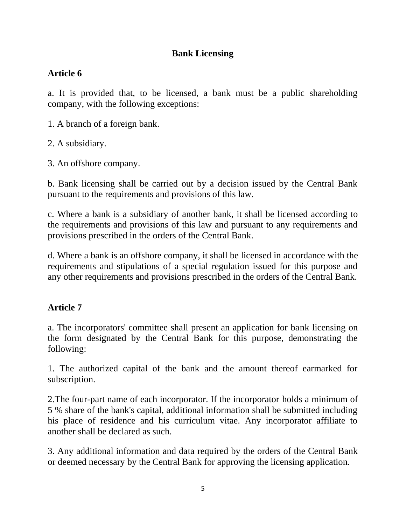## **Bank Licensing**

### **Article 6**

a. It is provided that, to be licensed, a bank must be a public shareholding company, with the following exceptions:

1. A branch of a foreign bank.

2. A subsidiary.

3. An offshore company.

b. Bank licensing shall be carried out by a decision issued by the Central Bank pursuant to the requirements and provisions of this law.

c. Where a bank is a subsidiary of another bank, it shall be licensed according to the requirements and provisions of this law and pursuant to any requirements and provisions prescribed in the orders of the Central Bank.

d. Where a bank is an offshore company, it shall be licensed in accordance with the requirements and stipulations of a special regulation issued for this purpose and any other requirements and provisions prescribed in the orders of the Central Bank.

#### **Article 7**

a. The incorporators' committee shall present an application for bank licensing on the form designated by the Central Bank for this purpose, demonstrating the following:

1. The authorized capital of the bank and the amount thereof earmarked for subscription.

2.The four-part name of each incorporator. If the incorporator holds a minimum of 5 % share of the bank's capital, additional information shall be submitted including his place of residence and his curriculum vitae. Any incorporator affiliate to another shall be declared as such.

3. Any additional information and data required by the orders of the Central Bank or deemed necessary by the Central Bank for approving the licensing application.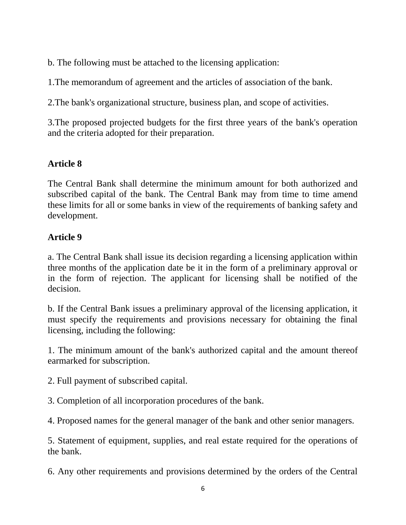b. The following must be attached to the licensing application:

1.The memorandum of agreement and the articles of association of the bank.

2.The bank's organizational structure, business plan, and scope of activities.

3.The proposed projected budgets for the first three years of the bank's operation and the criteria adopted for their preparation.

## **Article 8**

The Central Bank shall determine the minimum amount for both authorized and subscribed capital of the bank. The Central Bank may from time to time amend these limits for all or some banks in view of the requirements of banking safety and development.

#### **Article 9**

a. The Central Bank shall issue its decision regarding a licensing application within three months of the application date be it in the form of a preliminary approval or in the form of rejection. The applicant for licensing shall be notified of the decision.

b. If the Central Bank issues a preliminary approval of the licensing application, it must specify the requirements and provisions necessary for obtaining the final licensing, including the following:

1. The minimum amount of the bank's authorized capital and the amount thereof earmarked for subscription.

2. Full payment of subscribed capital.

3. Completion of all incorporation procedures of the bank.

4. Proposed names for the general manager of the bank and other senior managers.

5. Statement of equipment, supplies, and real estate required for the operations of the bank.

6. Any other requirements and provisions determined by the orders of the Central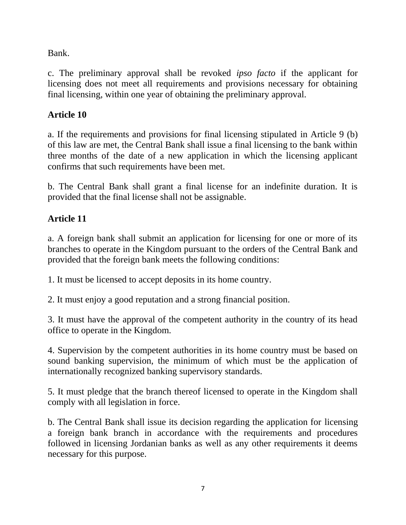Bank.

c. The preliminary approval shall be revoked *ipso facto* if the applicant for licensing does not meet all requirements and provisions necessary for obtaining final licensing, within one year of obtaining the preliminary approval.

# **Article 10**

a. If the requirements and provisions for final licensing stipulated in Article 9 (b) of this law are met, the Central Bank shall issue a final licensing to the bank within three months of the date of a new application in which the licensing applicant confirms that such requirements have been met.

b. The Central Bank shall grant a final license for an indefinite duration. It is provided that the final license shall not be assignable.

## **Article 11**

a. A foreign bank shall submit an application for licensing for one or more of its branches to operate in the Kingdom pursuant to the orders of the Central Bank and provided that the foreign bank meets the following conditions:

1. It must be licensed to accept deposits in its home country.

2. It must enjoy a good reputation and a strong financial position.

3. It must have the approval of the competent authority in the country of its head office to operate in the Kingdom.

4. Supervision by the competent authorities in its home country must be based on sound banking supervision, the minimum of which must be the application of internationally recognized banking supervisory standards.

5. It must pledge that the branch thereof licensed to operate in the Kingdom shall comply with all legislation in force.

b. The Central Bank shall issue its decision regarding the application for licensing a foreign bank branch in accordance with the requirements and procedures followed in licensing Jordanian banks as well as any other requirements it deems necessary for this purpose.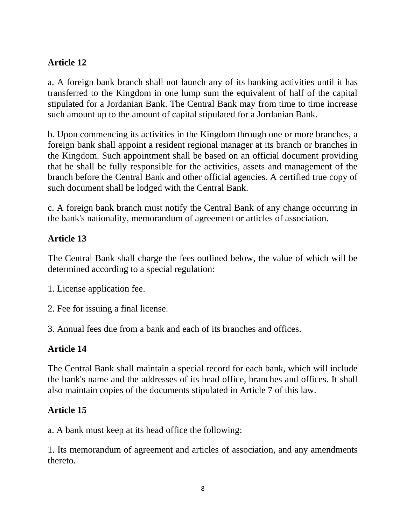## **Article 12**

a. A foreign bank branch shall not launch any of its banking activities until it has transferred to the Kingdom in one lump sum the equivalent of half of the capital stipulated for a Jordanian Bank. The Central Bank may from time to time increase such amount up to the amount of capital stipulated for a Jordanian Bank.

b. Upon commencing its activities in the Kingdom through one or more branches, a foreign bank shall appoint a resident regional manager at its branch or branches in the Kingdom. Such appointment shall be based on an official document providing that he shall be fully responsible for the activities, assets and management of the branch before the Central Bank and other official agencies. A certified true copy of such document shall be lodged with the Central Bank.

c. A foreign bank branch must notify the Central Bank of any change occurring in the bank's nationality, memorandum of agreement or articles of association.

#### **Article 13**

The Central Bank shall charge the fees outlined below, the value of which will be determined according to a special regulation:

- 1. License application fee.
- 2. Fee for issuing a final license.
- 3. Annual fees due from a bank and each of its branches and offices.

#### **Article 14**

The Central Bank shall maintain a special record for each bank, which will include the bank's name and the addresses of its head office, branches and offices. It shall also maintain copies of the documents stipulated in Article 7 of this law.

#### **Article 15**

a. A bank must keep at its head office the following:

1. Its memorandum of agreement and articles of association, and any amendments thereto.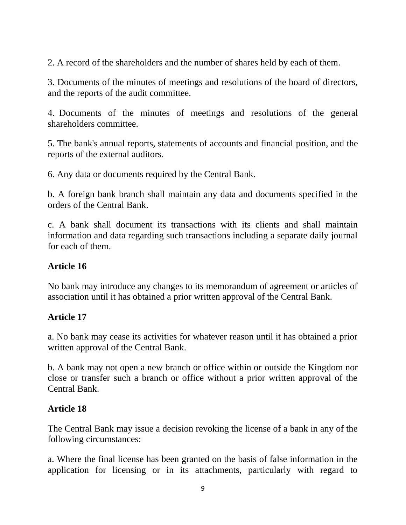2. A record of the shareholders and the number of shares held by each of them.

3. Documents of the minutes of meetings and resolutions of the board of directors, and the reports of the audit committee.

4. Documents of the minutes of meetings and resolutions of the general shareholders committee.

5. The bank's annual reports, statements of accounts and financial position, and the reports of the external auditors.

6. Any data or documents required by the Central Bank.

b. A foreign bank branch shall maintain any data and documents specified in the orders of the Central Bank.

c. A bank shall document its transactions with its clients and shall maintain information and data regarding such transactions including a separate daily journal for each of them.

### **Article 16**

No bank may introduce any changes to its memorandum of agreement or articles of association until it has obtained a prior written approval of the Central Bank.

#### **Article 17**

a. No bank may cease its activities for whatever reason until it has obtained a prior written approval of the Central Bank.

b. A bank may not open a new branch or office within or outside the Kingdom nor close or transfer such a branch or office without a prior written approval of the Central Bank.

#### **Article 18**

The Central Bank may issue a decision revoking the license of a bank in any of the following circumstances:

a. Where the final license has been granted on the basis of false information in the application for licensing or in its attachments, particularly with regard to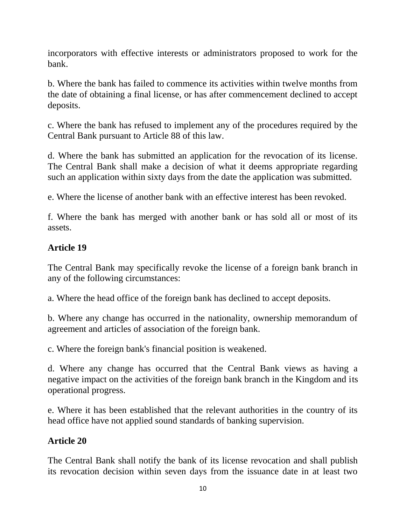incorporators with effective interests or administrators proposed to work for the bank.

b. Where the bank has failed to commence its activities within twelve months from the date of obtaining a final license, or has after commencement declined to accept deposits.

c. Where the bank has refused to implement any of the procedures required by the Central Bank pursuant to Article 88 of this law.

d. Where the bank has submitted an application for the revocation of its license. The Central Bank shall make a decision of what it deems appropriate regarding such an application within sixty days from the date the application was submitted.

e. Where the license of another bank with an effective interest has been revoked.

f. Where the bank has merged with another bank or has sold all or most of its assets.

#### **Article 19**

The Central Bank may specifically revoke the license of a foreign bank branch in any of the following circumstances:

a. Where the head office of the foreign bank has declined to accept deposits.

b. Where any change has occurred in the nationality, ownership memorandum of agreement and articles of association of the foreign bank.

c. Where the foreign bank's financial position is weakened.

d. Where any change has occurred that the Central Bank views as having a negative impact on the activities of the foreign bank branch in the Kingdom and its operational progress.

e. Where it has been established that the relevant authorities in the country of its head office have not applied sound standards of banking supervision.

#### **Article 20**

The Central Bank shall notify the bank of its license revocation and shall publish its revocation decision within seven days from the issuance date in at least two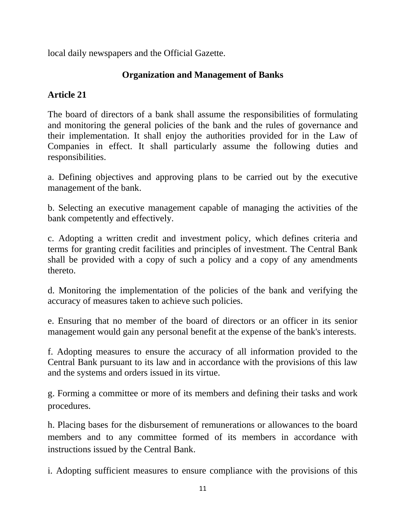local daily newspapers and the Official Gazette.

## **Organization and Management of Banks**

## **Article 21**

The board of directors of a bank shall assume the responsibilities of formulating and monitoring the general policies of the bank and the rules of governance and their implementation. It shall enjoy the authorities provided for in the Law of Companies in effect. It shall particularly assume the following duties and responsibilities.

a. Defining objectives and approving plans to be carried out by the executive management of the bank.

b. Selecting an executive management capable of managing the activities of the bank competently and effectively.

c. Adopting a written credit and investment policy, which defines criteria and terms for granting credit facilities and principles of investment. The Central Bank shall be provided with a copy of such a policy and a copy of any amendments thereto.

d. Monitoring the implementation of the policies of the bank and verifying the accuracy of measures taken to achieve such policies.

e. Ensuring that no member of the board of directors or an officer in its senior management would gain any personal benefit at the expense of the bank's interests.

f. Adopting measures to ensure the accuracy of all information provided to the Central Bank pursuant to its law and in accordance with the provisions of this law and the systems and orders issued in its virtue.

g. Forming a committee or more of its members and defining their tasks and work procedures.

h. Placing bases for the disbursement of remunerations or allowances to the board members and to any committee formed of its members in accordance with instructions issued by the Central Bank.

i. Adopting sufficient measures to ensure compliance with the provisions of this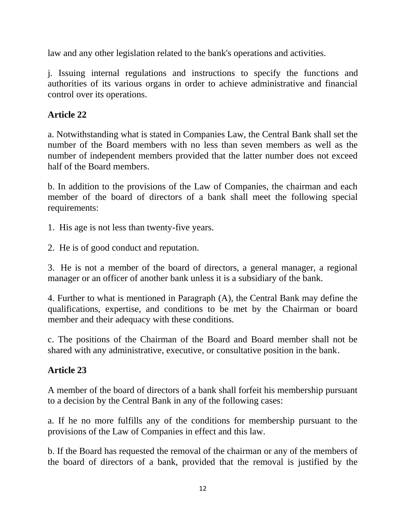law and any other legislation related to the bank's operations and activities.

j. Issuing internal regulations and instructions to specify the functions and authorities of its various organs in order to achieve administrative and financial control over its operations.

# **Article 22**

a. Notwithstanding what is stated in Companies Law, the Central Bank shall set the number of the Board members with no less than seven members as well as the number of independent members provided that the latter number does not exceed half of the Board members.

b. In addition to the provisions of the Law of Companies, the chairman and each member of the board of directors of a bank shall meet the following special requirements:

1. His age is not less than twenty-five years.

2. He is of good conduct and reputation.

3. He is not a member of the board of directors, a general manager, a regional manager or an officer of another bank unless it is a subsidiary of the bank.

4. Further to what is mentioned in Paragraph (A), the Central Bank may define the qualifications, expertise, and conditions to be met by the Chairman or board member and their adequacy with these conditions.

c. The positions of the Chairman of the Board and Board member shall not be shared with any administrative, executive, or consultative position in the bank.

# **Article 23**

A member of the board of directors of a bank shall forfeit his membership pursuant to a decision by the Central Bank in any of the following cases:

a. If he no more fulfills any of the conditions for membership pursuant to the provisions of the Law of Companies in effect and this law.

b. If the Board has requested the removal of the chairman or any of the members of the board of directors of a bank, provided that the removal is justified by the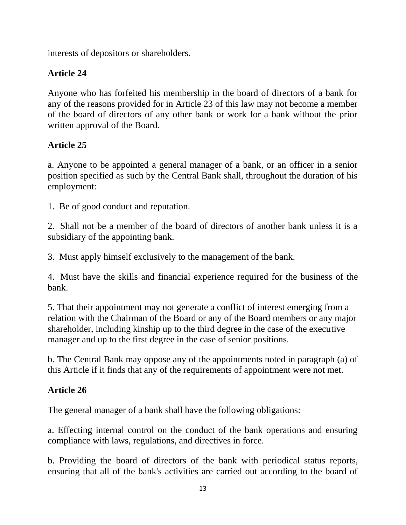interests of depositors or shareholders.

# **Article 24**

Anyone who has forfeited his membership in the board of directors of a bank for any of the reasons provided for in Article 23 of this law may not become a member of the board of directors of any other bank or work for a bank without the prior written approval of the Board.

# **Article 25**

a. Anyone to be appointed a general manager of a bank, or an officer in a senior position specified as such by the Central Bank shall, throughout the duration of his employment:

1. Be of good conduct and reputation.

2. Shall not be a member of the board of directors of another bank unless it is a subsidiary of the appointing bank.

3. Must apply himself exclusively to the management of the bank.

4. Must have the skills and financial experience required for the business of the bank.

5. That their appointment may not generate a conflict of interest emerging from a relation with the Chairman of the Board or any of the Board members or any major shareholder, including kinship up to the third degree in the case of the executive manager and up to the first degree in the case of senior positions.

b. The Central Bank may oppose any of the appointments noted in paragraph (a) of this Article if it finds that any of the requirements of appointment were not met.

# **Article 26**

The general manager of a bank shall have the following obligations:

a. Effecting internal control on the conduct of the bank operations and ensuring compliance with laws, regulations, and directives in force.

b. Providing the board of directors of the bank with periodical status reports, ensuring that all of the bank's activities are carried out according to the board of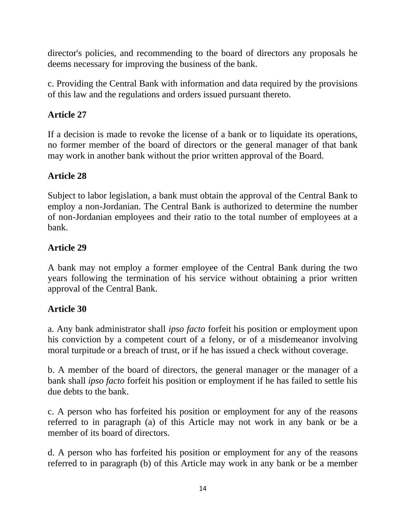director's policies, and recommending to the board of directors any proposals he deems necessary for improving the business of the bank.

c. Providing the Central Bank with information and data required by the provisions of this law and the regulations and orders issued pursuant thereto.

## **Article 27**

If a decision is made to revoke the license of a bank or to liquidate its operations, no former member of the board of directors or the general manager of that bank may work in another bank without the prior written approval of the Board.

## **Article 28**

Subject to labor legislation, a bank must obtain the approval of the Central Bank to employ a non-Jordanian. The Central Bank is authorized to determine the number of non-Jordanian employees and their ratio to the total number of employees at a bank.

## **Article 29**

A bank may not employ a former employee of the Central Bank during the two years following the termination of his service without obtaining a prior written approval of the Central Bank.

## **Article 30**

a. Any bank administrator shall *ipso facto* forfeit his position or employment upon his conviction by a competent court of a felony, or of a misdemeanor involving moral turpitude or a breach of trust, or if he has issued a check without coverage.

b. A member of the board of directors, the general manager or the manager of a bank shall *ipso facto* forfeit his position or employment if he has failed to settle his due debts to the bank.

c. A person who has forfeited his position or employment for any of the reasons referred to in paragraph (a) of this Article may not work in any bank or be a member of its board of directors.

d. A person who has forfeited his position or employment for any of the reasons referred to in paragraph (b) of this Article may work in any bank or be a member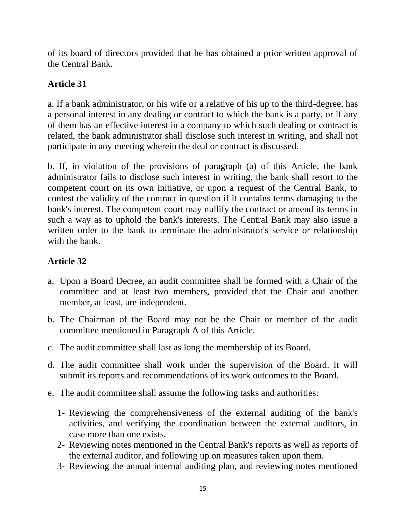of its board of directors provided that he has obtained a prior written approval of the Central Bank.

## **Article 31**

a. If a bank administrator, or his wife or a relative of his up to the third-degree, has a personal interest in any dealing or contract to which the bank is a party, or if any of them has an effective interest in a company to which such dealing or contract is related, the bank administrator shall disclose such interest in writing, and shall not participate in any meeting wherein the deal or contract is discussed.

b. If, in violation of the provisions of paragraph (a) of this Article, the bank administrator fails to disclose such interest in writing, the bank shall resort to the competent court on its own initiative, or upon a request of the Central Bank, to contest the validity of the contract in question if it contains terms damaging to the bank's interest. The competent court may nullify the contract or amend its terms in such a way as to uphold the bank's interests. The Central Bank may also issue a written order to the bank to terminate the administrator's service or relationship with the bank.

## **Article 32**

- a. Upon a Board Decree, an audit committee shall be formed with a Chair of the committee and at least two members, provided that the Chair and another member, at least, are independent.
- b. The Chairman of the Board may not be the Chair or member of the audit committee mentioned in Paragraph A of this Article.
- c. The audit committee shall last as long the membership of its Board.
- d. The audit committee shall work under the supervision of the Board. It will submit its reports and recommendations of its work outcomes to the Board.
- e. The audit committee shall assume the following tasks and authorities:
	- 1- Reviewing the comprehensiveness of the external auditing of the bank's activities, and verifying the coordination between the external auditors, in case more than one exists.
	- 2- Reviewing notes mentioned in the Central Bank's reports as well as reports of the external auditor, and following up on measures taken upon them.
	- 3- Reviewing the annual internal auditing plan, and reviewing notes mentioned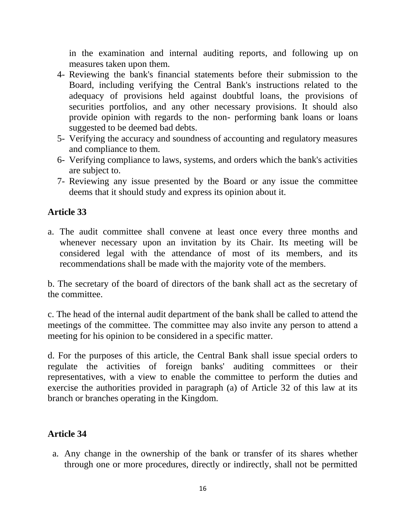in the examination and internal auditing reports, and following up on measures taken upon them.

- 4- Reviewing the bank's financial statements before their submission to the Board, including verifying the Central Bank's instructions related to the adequacy of provisions held against doubtful loans, the provisions of securities portfolios, and any other necessary provisions. It should also provide opinion with regards to the non- performing bank loans or loans suggested to be deemed bad debts.
- 5- Verifying the accuracy and soundness of accounting and regulatory measures and compliance to them.
- 6- Verifying compliance to laws, systems, and orders which the bank's activities are subject to.
- 7- Reviewing any issue presented by the Board or any issue the committee deems that it should study and express its opinion about it.

#### **Article 33**

a. The audit committee shall convene at least once every three months and whenever necessary upon an invitation by its Chair. Its meeting will be considered legal with the attendance of most of its members, and its recommendations shall be made with the majority vote of the members.

b. The secretary of the board of directors of the bank shall act as the secretary of the committee.

c. The head of the internal audit department of the bank shall be called to attend the meetings of the committee. The committee may also invite any person to attend a meeting for his opinion to be considered in a specific matter.

d. For the purposes of this article, the Central Bank shall issue special orders to regulate the activities of foreign banks' auditing committees or their representatives, with a view to enable the committee to perform the duties and exercise the authorities provided in paragraph (a) of Article 32 of this law at its branch or branches operating in the Kingdom.

#### **Article 34**

a. Any change in the ownership of the bank or transfer of its shares whether through one or more procedures, directly or indirectly, shall not be permitted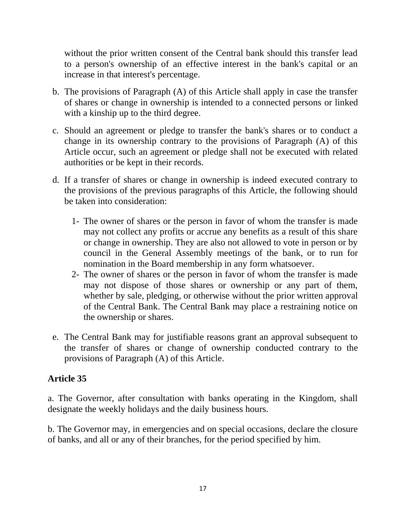without the prior written consent of the Central bank should this transfer lead to a person's ownership of an effective interest in the bank's capital or an increase in that interest's percentage.

- b. The provisions of Paragraph (A) of this Article shall apply in case the transfer of shares or change in ownership is intended to a connected persons or linked with a kinship up to the third degree.
- c. Should an agreement or pledge to transfer the bank's shares or to conduct a change in its ownership contrary to the provisions of Paragraph (A) of this Article occur, such an agreement or pledge shall not be executed with related authorities or be kept in their records.
- d. If a transfer of shares or change in ownership is indeed executed contrary to the provisions of the previous paragraphs of this Article, the following should be taken into consideration:
	- 1- The owner of shares or the person in favor of whom the transfer is made may not collect any profits or accrue any benefits as a result of this share or change in ownership. They are also not allowed to vote in person or by council in the General Assembly meetings of the bank, or to run for nomination in the Board membership in any form whatsoever.
	- 2- The owner of shares or the person in favor of whom the transfer is made may not dispose of those shares or ownership or any part of them, whether by sale, pledging, or otherwise without the prior written approval of the Central Bank. The Central Bank may place a restraining notice on the ownership or shares.
- e. The Central Bank may for justifiable reasons grant an approval subsequent to the transfer of shares or change of ownership conducted contrary to the provisions of Paragraph (A) of this Article.

#### **Article 35**

a. The Governor, after consultation with banks operating in the Kingdom, shall designate the weekly holidays and the daily business hours.

b. The Governor may, in emergencies and on special occasions, declare the closure of banks, and all or any of their branches, for the period specified by him.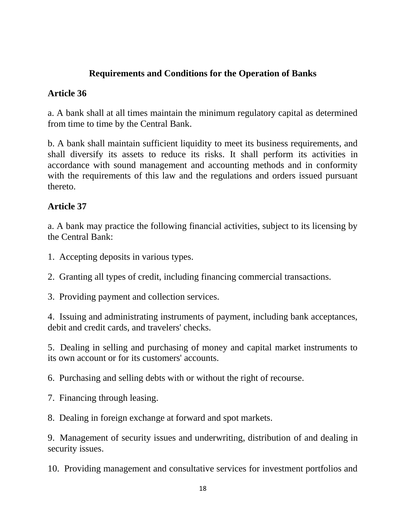### **Requirements and Conditions for the Operation of Banks**

#### **Article 36**

a. A bank shall at all times maintain the minimum regulatory capital as determined from time to time by the Central Bank.

b. A bank shall maintain sufficient liquidity to meet its business requirements, and shall diversify its assets to reduce its risks. It shall perform its activities in accordance with sound management and accounting methods and in conformity with the requirements of this law and the regulations and orders issued pursuant thereto.

#### **Article 37**

a. A bank may practice the following financial activities, subject to its licensing by the Central Bank:

1. Accepting deposits in various types.

2. Granting all types of credit, including financing commercial transactions.

3. Providing payment and collection services.

4. Issuing and administrating instruments of payment, including bank acceptances, debit and credit cards, and travelers' checks.

5. Dealing in selling and purchasing of money and capital market instruments to its own account or for its customers' accounts.

6. Purchasing and selling debts with or without the right of recourse.

7. Financing through leasing.

8. Dealing in foreign exchange at forward and spot markets.

9. Management of security issues and underwriting, distribution of and dealing in security issues.

10. Providing management and consultative services for investment portfolios and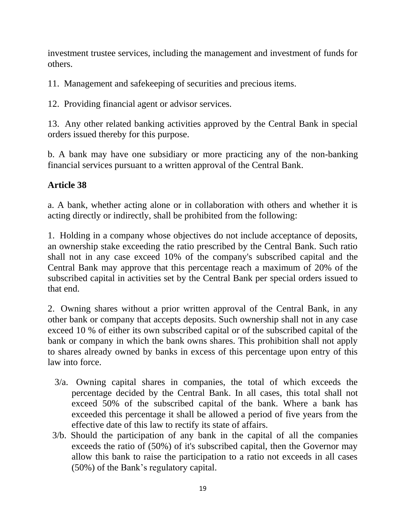investment trustee services, including the management and investment of funds for others.

11. Management and safekeeping of securities and precious items.

12. Providing financial agent or advisor services.

13. Any other related banking activities approved by the Central Bank in special orders issued thereby for this purpose.

b. A bank may have one subsidiary or more practicing any of the non-banking financial services pursuant to a written approval of the Central Bank.

## **Article 38**

a. A bank, whether acting alone or in collaboration with others and whether it is acting directly or indirectly, shall be prohibited from the following:

1. Holding in a company whose objectives do not include acceptance of deposits, an ownership stake exceeding the ratio prescribed by the Central Bank. Such ratio shall not in any case exceed 10% of the company's subscribed capital and the Central Bank may approve that this percentage reach a maximum of 20% of the subscribed capital in activities set by the Central Bank per special orders issued to that end.

2. Owning shares without a prior written approval of the Central Bank, in any other bank or company that accepts deposits. Such ownership shall not in any case exceed 10 % of either its own subscribed capital or of the subscribed capital of the bank or company in which the bank owns shares. This prohibition shall not apply to shares already owned by banks in excess of this percentage upon entry of this law into force.

- 3/a. Owning capital shares in companies, the total of which exceeds the percentage decided by the Central Bank. In all cases, this total shall not exceed 50% of the subscribed capital of the bank. Where a bank has exceeded this percentage it shall be allowed a period of five years from the effective date of this law to rectify its state of affairs.
- 3/b. Should the participation of any bank in the capital of all the companies exceeds the ratio of (50%) of it's subscribed capital, then the Governor may allow this bank to raise the participation to a ratio not exceeds in all cases (50%) of the Bank's regulatory capital.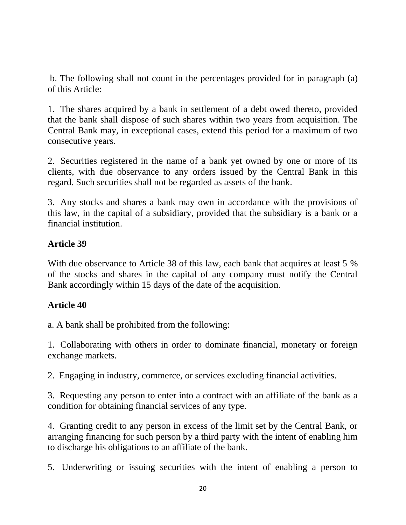b. The following shall not count in the percentages provided for in paragraph (a) of this Article:

1. The shares acquired by a bank in settlement of a debt owed thereto, provided that the bank shall dispose of such shares within two years from acquisition. The Central Bank may, in exceptional cases, extend this period for a maximum of two consecutive years.

2. Securities registered in the name of a bank yet owned by one or more of its clients, with due observance to any orders issued by the Central Bank in this regard. Such securities shall not be regarded as assets of the bank.

3. Any stocks and shares a bank may own in accordance with the provisions of this law, in the capital of a subsidiary, provided that the subsidiary is a bank or a financial institution.

#### **Article 39**

With due observance to Article 38 of this law, each bank that acquires at least 5 % of the stocks and shares in the capital of any company must notify the Central Bank accordingly within 15 days of the date of the acquisition.

#### **Article 40**

a. A bank shall be prohibited from the following:

1. Collaborating with others in order to dominate financial, monetary or foreign exchange markets.

2. Engaging in industry, commerce, or services excluding financial activities.

3. Requesting any person to enter into a contract with an affiliate of the bank as a condition for obtaining financial services of any type.

4. Granting credit to any person in excess of the limit set by the Central Bank, or arranging financing for such person by a third party with the intent of enabling him to discharge his obligations to an affiliate of the bank.

5. Underwriting or issuing securities with the intent of enabling a person to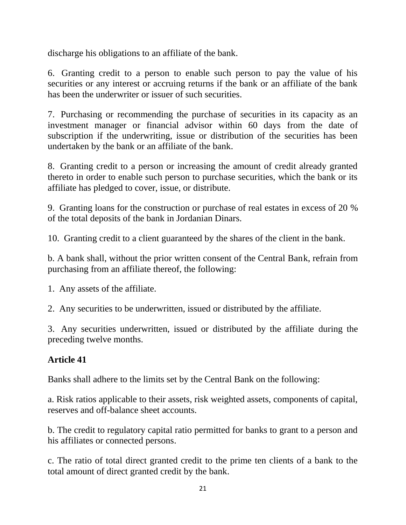discharge his obligations to an affiliate of the bank.

6. Granting credit to a person to enable such person to pay the value of his securities or any interest or accruing returns if the bank or an affiliate of the bank has been the underwriter or issuer of such securities.

7. Purchasing or recommending the purchase of securities in its capacity as an investment manager or financial advisor within 60 days from the date of subscription if the underwriting, issue or distribution of the securities has been undertaken by the bank or an affiliate of the bank.

8. Granting credit to a person or increasing the amount of credit already granted thereto in order to enable such person to purchase securities, which the bank or its affiliate has pledged to cover, issue, or distribute.

9. Granting loans for the construction or purchase of real estates in excess of 20 % of the total deposits of the bank in Jordanian Dinars.

10. Granting credit to a client guaranteed by the shares of the client in the bank.

b. A bank shall, without the prior written consent of the Central Bank, refrain from purchasing from an affiliate thereof, the following:

1. Any assets of the affiliate.

2. Any securities to be underwritten, issued or distributed by the affiliate.

3. Any securities underwritten, issued or distributed by the affiliate during the preceding twelve months.

#### **Article 41**

Banks shall adhere to the limits set by the Central Bank on the following:

a. Risk ratios applicable to their assets, risk weighted assets, components of capital, reserves and off-balance sheet accounts.

b. The credit to regulatory capital ratio permitted for banks to grant to a person and his affiliates or connected persons.

c. The ratio of total direct granted credit to the prime ten clients of a bank to the total amount of direct granted credit by the bank.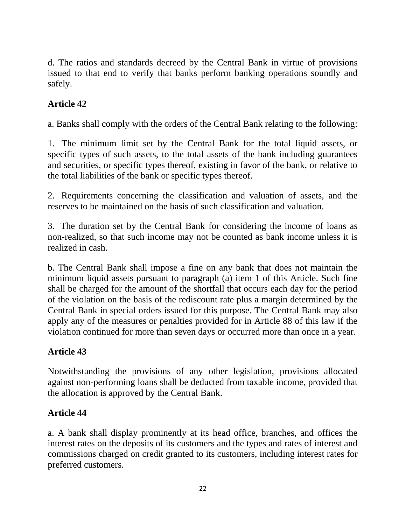d. The ratios and standards decreed by the Central Bank in virtue of provisions issued to that end to verify that banks perform banking operations soundly and safely.

## **Article 42**

a. Banks shall comply with the orders of the Central Bank relating to the following:

1. The minimum limit set by the Central Bank for the total liquid assets, or specific types of such assets, to the total assets of the bank including guarantees and securities, or specific types thereof, existing in favor of the bank, or relative to the total liabilities of the bank or specific types thereof.

2. Requirements concerning the classification and valuation of assets, and the reserves to be maintained on the basis of such classification and valuation.

3. The duration set by the Central Bank for considering the income of loans as non-realized, so that such income may not be counted as bank income unless it is realized in cash.

b. The Central Bank shall impose a fine on any bank that does not maintain the minimum liquid assets pursuant to paragraph (a) item 1 of this Article. Such fine shall be charged for the amount of the shortfall that occurs each day for the period of the violation on the basis of the rediscount rate plus a margin determined by the Central Bank in special orders issued for this purpose. The Central Bank may also apply any of the measures or penalties provided for in Article 88 of this law if the violation continued for more than seven days or occurred more than once in a year.

#### **Article 43**

Notwithstanding the provisions of any other legislation, provisions allocated against non-performing loans shall be deducted from taxable income, provided that the allocation is approved by the Central Bank.

#### **Article 44**

a. A bank shall display prominently at its head office, branches, and offices the interest rates on the deposits of its customers and the types and rates of interest and commissions charged on credit granted to its customers, including interest rates for preferred customers.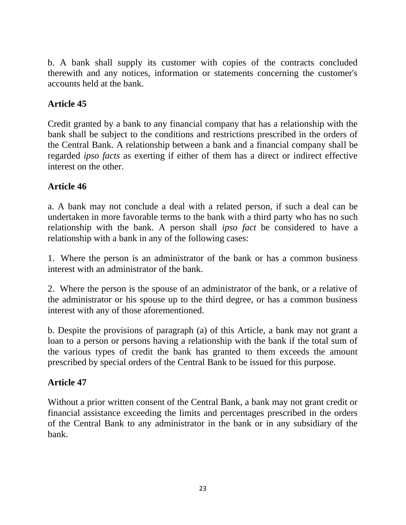b. A bank shall supply its customer with copies of the contracts concluded therewith and any notices, information or statements concerning the customer's accounts held at the bank.

## **Article 45**

Credit granted by a bank to any financial company that has a relationship with the bank shall be subject to the conditions and restrictions prescribed in the orders of the Central Bank. A relationship between a bank and a financial company shall be regarded *ipso facts* as exerting if either of them has a direct or indirect effective interest on the other.

#### **Article 46**

a. A bank may not conclude a deal with a related person, if such a deal can be undertaken in more favorable terms to the bank with a third party who has no such relationship with the bank. A person shall *ipso fact* be considered to have a relationship with a bank in any of the following cases:

1. Where the person is an administrator of the bank or has a common business interest with an administrator of the bank.

2. Where the person is the spouse of an administrator of the bank, or a relative of the administrator or his spouse up to the third degree, or has a common business interest with any of those aforementioned.

b. Despite the provisions of paragraph (a) of this Article, a bank may not grant a loan to a person or persons having a relationship with the bank if the total sum of the various types of credit the bank has granted to them exceeds the amount prescribed by special orders of the Central Bank to be issued for this purpose.

#### **Article 47**

Without a prior written consent of the Central Bank, a bank may not grant credit or financial assistance exceeding the limits and percentages prescribed in the orders of the Central Bank to any administrator in the bank or in any subsidiary of the bank.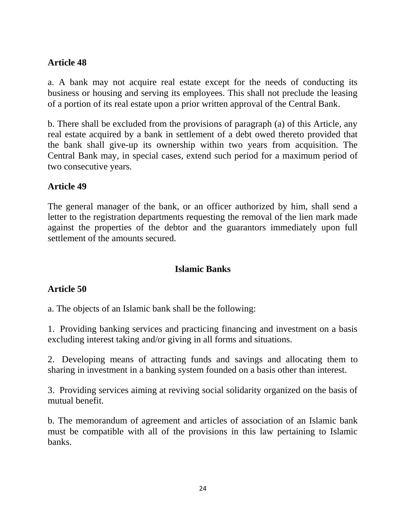#### **Article 48**

a. A bank may not acquire real estate except for the needs of conducting its business or housing and serving its employees. This shall not preclude the leasing of a portion of its real estate upon a prior written approval of the Central Bank.

b. There shall be excluded from the provisions of paragraph (a) of this Article, any real estate acquired by a bank in settlement of a debt owed thereto provided that the bank shall give-up its ownership within two years from acquisition. The Central Bank may, in special cases, extend such period for a maximum period of two consecutive years.

#### **Article 49**

The general manager of the bank, or an officer authorized by him, shall send a letter to the registration departments requesting the removal of the lien mark made against the properties of the debtor and the guarantors immediately upon full settlement of the amounts secured.

#### **Islamic Banks**

#### **Article 50**

a. The objects of an Islamic bank shall be the following:

1. Providing banking services and practicing financing and investment on a basis excluding interest taking and/or giving in all forms and situations.

2. Developing means of attracting funds and savings and allocating them to sharing in investment in a banking system founded on a basis other than interest.

3. Providing services aiming at reviving social solidarity organized on the basis of mutual benefit.

b. The memorandum of agreement and articles of association of an Islamic bank must be compatible with all of the provisions in this law pertaining to Islamic banks.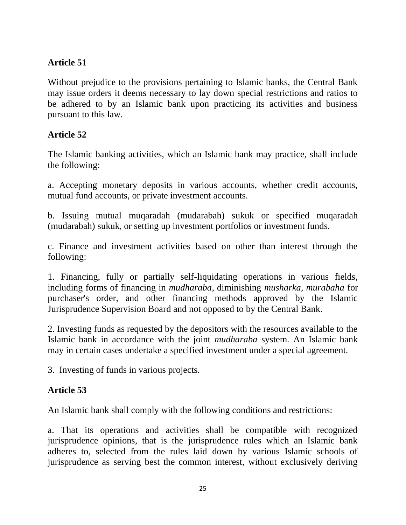## **Article 51**

Without prejudice to the provisions pertaining to Islamic banks, the Central Bank may issue orders it deems necessary to lay down special restrictions and ratios to be adhered to by an Islamic bank upon practicing its activities and business pursuant to this law.

## **Article 52**

The Islamic banking activities, which an Islamic bank may practice, shall include the following:

a. Accepting monetary deposits in various accounts, whether credit accounts, mutual fund accounts, or private investment accounts.

b. Issuing mutual muqaradah (mudarabah) sukuk or specified muqaradah (mudarabah) sukuk, or setting up investment portfolios or investment funds.

c. Finance and investment activities based on other than interest through the following:

1. Financing, fully or partially self-liquidating operations in various fields, including forms of financing in *mudharaba*, diminishing *musharka, murabaha* for purchaser's order, and other financing methods approved by the Islamic Jurisprudence Supervision Board and not opposed to by the Central Bank.

2. Investing funds as requested by the depositors with the resources available to the Islamic bank in accordance with the joint *mudharaba* system. An Islamic bank may in certain cases undertake a specified investment under a special agreement.

3. Investing of funds in various projects.

#### **Article 53**

An Islamic bank shall comply with the following conditions and restrictions:

a. That its operations and activities shall be compatible with recognized jurisprudence opinions, that is the jurisprudence rules which an Islamic bank adheres to, selected from the rules laid down by various Islamic schools of jurisprudence as serving best the common interest, without exclusively deriving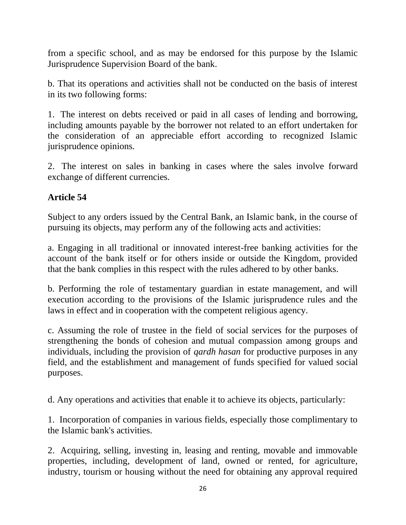from a specific school, and as may be endorsed for this purpose by the Islamic Jurisprudence Supervision Board of the bank.

b. That its operations and activities shall not be conducted on the basis of interest in its two following forms:

1. The interest on debts received or paid in all cases of lending and borrowing, including amounts payable by the borrower not related to an effort undertaken for the consideration of an appreciable effort according to recognized Islamic jurisprudence opinions.

2. The interest on sales in banking in cases where the sales involve forward exchange of different currencies.

#### **Article 54**

Subject to any orders issued by the Central Bank, an Islamic bank, in the course of pursuing its objects, may perform any of the following acts and activities:

a. Engaging in all traditional or innovated interest-free banking activities for the account of the bank itself or for others inside or outside the Kingdom, provided that the bank complies in this respect with the rules adhered to by other banks.

b. Performing the role of testamentary guardian in estate management, and will execution according to the provisions of the Islamic jurisprudence rules and the laws in effect and in cooperation with the competent religious agency.

c. Assuming the role of trustee in the field of social services for the purposes of strengthening the bonds of cohesion and mutual compassion among groups and individuals, including the provision of *qardh hasan* for productive purposes in any field, and the establishment and management of funds specified for valued social purposes.

d. Any operations and activities that enable it to achieve its objects, particularly:

1. Incorporation of companies in various fields, especially those complimentary to the Islamic bank's activities.

2. Acquiring, selling, investing in, leasing and renting, movable and immovable properties, including, development of land, owned or rented, for agriculture, industry, tourism or housing without the need for obtaining any approval required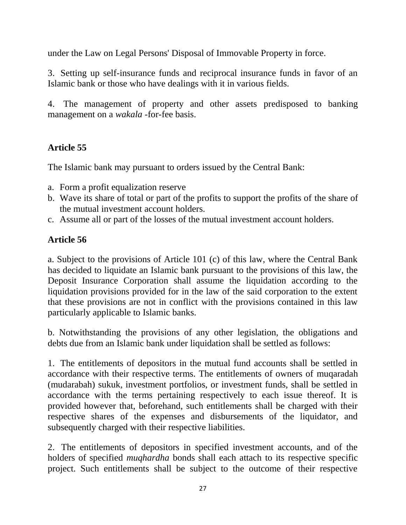under the Law on Legal Persons' Disposal of Immovable Property in force.

3. Setting up self-insurance funds and reciprocal insurance funds in favor of an Islamic bank or those who have dealings with it in various fields.

4. The management of property and other assets predisposed to banking management on a *wakala* -for-fee basis.

## **Article 55**

The Islamic bank may pursuant to orders issued by the Central Bank:

- a. Form a profit equalization reserve
- b. Wave its share of total or part of the profits to support the profits of the share of the mutual investment account holders.
- c. Assume all or part of the losses of the mutual investment account holders.

# **Article 56**

a. Subject to the provisions of Article 101 (c) of this law, where the Central Bank has decided to liquidate an Islamic bank pursuant to the provisions of this law, the Deposit Insurance Corporation shall assume the liquidation according to the liquidation provisions provided for in the law of the said corporation to the extent that these provisions are not in conflict with the provisions contained in this law particularly applicable to Islamic banks.

b. Notwithstanding the provisions of any other legislation, the obligations and debts due from an Islamic bank under liquidation shall be settled as follows:

1. The entitlements of depositors in the mutual fund accounts shall be settled in accordance with their respective terms. The entitlements of owners of muqaradah (mudarabah) sukuk*,* investment portfolios, or investment funds, shall be settled in accordance with the terms pertaining respectively to each issue thereof. It is provided however that, beforehand, such entitlements shall be charged with their respective shares of the expenses and disbursements of the liquidator, and subsequently charged with their respective liabilities.

2. The entitlements of depositors in specified investment accounts, and of the holders of specified *muqhardha* bonds shall each attach to its respective specific project. Such entitlements shall be subject to the outcome of their respective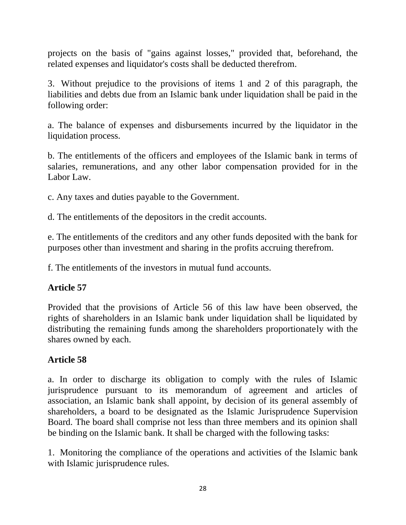projects on the basis of "gains against losses," provided that, beforehand, the related expenses and liquidator's costs shall be deducted therefrom.

3. Without prejudice to the provisions of items 1 and 2 of this paragraph, the liabilities and debts due from an Islamic bank under liquidation shall be paid in the following order:

a. The balance of expenses and disbursements incurred by the liquidator in the liquidation process.

b. The entitlements of the officers and employees of the Islamic bank in terms of salaries, remunerations, and any other labor compensation provided for in the Labor Law.

c. Any taxes and duties payable to the Government.

d. The entitlements of the depositors in the credit accounts.

e. The entitlements of the creditors and any other funds deposited with the bank for purposes other than investment and sharing in the profits accruing therefrom.

f. The entitlements of the investors in mutual fund accounts.

#### **Article 57**

Provided that the provisions of Article 56 of this law have been observed, the rights of shareholders in an Islamic bank under liquidation shall be liquidated by distributing the remaining funds among the shareholders proportionately with the shares owned by each.

#### **Article 58**

a. In order to discharge its obligation to comply with the rules of Islamic jurisprudence pursuant to its memorandum of agreement and articles of association, an Islamic bank shall appoint, by decision of its general assembly of shareholders, a board to be designated as the Islamic Jurisprudence Supervision Board. The board shall comprise not less than three members and its opinion shall be binding on the Islamic bank. It shall be charged with the following tasks:

1. Monitoring the compliance of the operations and activities of the Islamic bank with Islamic jurisprudence rules.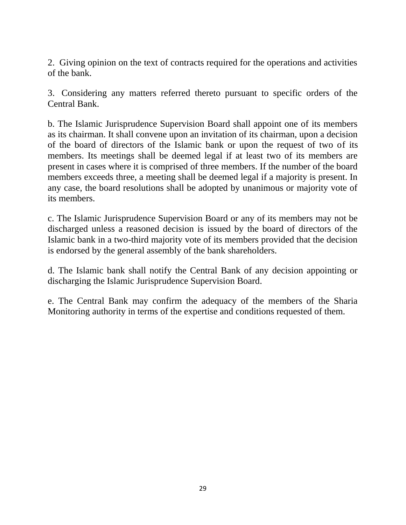2. Giving opinion on the text of contracts required for the operations and activities of the bank.

3. Considering any matters referred thereto pursuant to specific orders of the Central Bank.

b. The Islamic Jurisprudence Supervision Board shall appoint one of its members as its chairman. It shall convene upon an invitation of its chairman, upon a decision of the board of directors of the Islamic bank or upon the request of two of its members. Its meetings shall be deemed legal if at least two of its members are present in cases where it is comprised of three members. If the number of the board members exceeds three, a meeting shall be deemed legal if a majority is present. In any case, the board resolutions shall be adopted by unanimous or majority vote of its members.

c. The Islamic Jurisprudence Supervision Board or any of its members may not be discharged unless a reasoned decision is issued by the board of directors of the Islamic bank in a two-third majority vote of its members provided that the decision is endorsed by the general assembly of the bank shareholders.

d. The Islamic bank shall notify the Central Bank of any decision appointing or discharging the Islamic Jurisprudence Supervision Board.

e. The Central Bank may confirm the adequacy of the members of the Sharia Monitoring authority in terms of the expertise and conditions requested of them.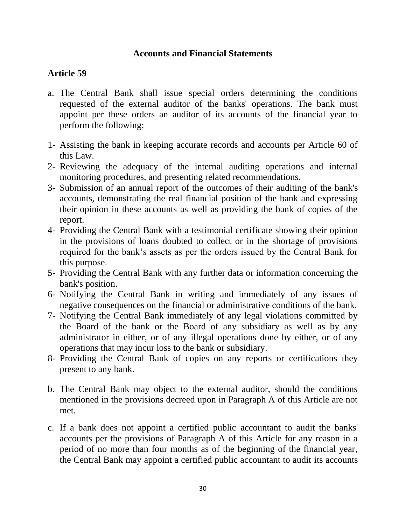#### **Accounts and Financial Statements**

#### **Article 59**

- a. The Central Bank shall issue special orders determining the conditions requested of the external auditor of the banks' operations. The bank must appoint per these orders an auditor of its accounts of the financial year to perform the following:
- 1- Assisting the bank in keeping accurate records and accounts per Article 60 of this Law.
- 2- Reviewing the adequacy of the internal auditing operations and internal monitoring procedures, and presenting related recommendations.
- 3- Submission of an annual report of the outcomes of their auditing of the bank's accounts, demonstrating the real financial position of the bank and expressing their opinion in these accounts as well as providing the bank of copies of the report.
- 4- Providing the Central Bank with a testimonial certificate showing their opinion in the provisions of loans doubted to collect or in the shortage of provisions required for the bank's assets as per the orders issued by the Central Bank for this purpose.
- 5- Providing the Central Bank with any further data or information concerning the bank's position.
- 6- Notifying the Central Bank in writing and immediately of any issues of negative consequences on the financial or administrative conditions of the bank.
- 7- Notifying the Central Bank immediately of any legal violations committed by the Board of the bank or the Board of any subsidiary as well as by any administrator in either, or of any illegal operations done by either, or of any operations that may incur loss to the bank or subsidiary.
- 8- Providing the Central Bank of copies on any reports or certifications they present to any bank.
- b. The Central Bank may object to the external auditor, should the conditions mentioned in the provisions decreed upon in Paragraph A of this Article are not met.
- c. If a bank does not appoint a certified public accountant to audit the banks' accounts per the provisions of Paragraph A of this Article for any reason in a period of no more than four months as of the beginning of the financial year, the Central Bank may appoint a certified public accountant to audit its accounts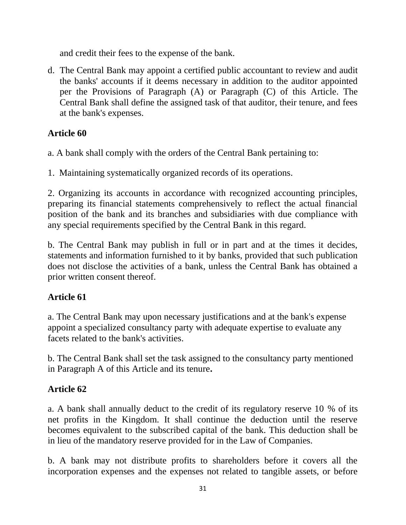and credit their fees to the expense of the bank.

d. The Central Bank may appoint a certified public accountant to review and audit the banks' accounts if it deems necessary in addition to the auditor appointed per the Provisions of Paragraph (A) or Paragraph (C) of this Article. The Central Bank shall define the assigned task of that auditor, their tenure, and fees at the bank's expenses.

## **Article 60**

a. A bank shall comply with the orders of the Central Bank pertaining to:

1. Maintaining systematically organized records of its operations.

2. Organizing its accounts in accordance with recognized accounting principles, preparing its financial statements comprehensively to reflect the actual financial position of the bank and its branches and subsidiaries with due compliance with any special requirements specified by the Central Bank in this regard.

b. The Central Bank may publish in full or in part and at the times it decides, statements and information furnished to it by banks, provided that such publication does not disclose the activities of a bank, unless the Central Bank has obtained a prior written consent thereof.

## **Article 61**

a. The Central Bank may upon necessary justifications and at the bank's expense appoint a specialized consultancy party with adequate expertise to evaluate any facets related to the bank's activities.

b. The Central Bank shall set the task assigned to the consultancy party mentioned in Paragraph A of this Article and its tenure**.**

# **Article 62**

a. A bank shall annually deduct to the credit of its regulatory reserve 10 % of its net profits in the Kingdom. It shall continue the deduction until the reserve becomes equivalent to the subscribed capital of the bank. This deduction shall be in lieu of the mandatory reserve provided for in the Law of Companies.

b. A bank may not distribute profits to shareholders before it covers all the incorporation expenses and the expenses not related to tangible assets, or before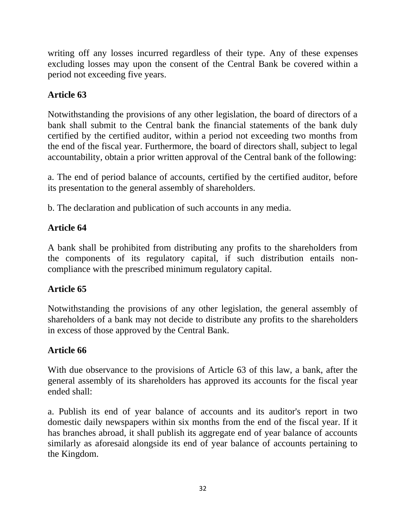writing off any losses incurred regardless of their type. Any of these expenses excluding losses may upon the consent of the Central Bank be covered within a period not exceeding five years.

# **Article 63**

Notwithstanding the provisions of any other legislation, the board of directors of a bank shall submit to the Central bank the financial statements of the bank duly certified by the certified auditor, within a period not exceeding two months from the end of the fiscal year. Furthermore, the board of directors shall, subject to legal accountability, obtain a prior written approval of the Central bank of the following:

a. The end of period balance of accounts, certified by the certified auditor, before its presentation to the general assembly of shareholders.

b. The declaration and publication of such accounts in any media.

## **Article 64**

A bank shall be prohibited from distributing any profits to the shareholders from the components of its regulatory capital, if such distribution entails noncompliance with the prescribed minimum regulatory capital.

## **Article 65**

Notwithstanding the provisions of any other legislation, the general assembly of shareholders of a bank may not decide to distribute any profits to the shareholders in excess of those approved by the Central Bank.

## **Article 66**

With due observance to the provisions of Article 63 of this law, a bank, after the general assembly of its shareholders has approved its accounts for the fiscal year ended shall:

a. Publish its end of year balance of accounts and its auditor's report in two domestic daily newspapers within six months from the end of the fiscal year. If it has branches abroad, it shall publish its aggregate end of year balance of accounts similarly as aforesaid alongside its end of year balance of accounts pertaining to the Kingdom.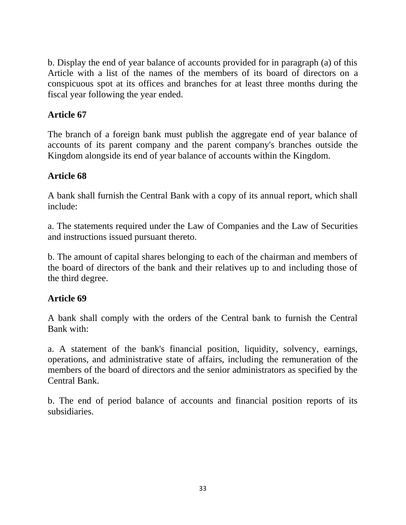b. Display the end of year balance of accounts provided for in paragraph (a) of this Article with a list of the names of the members of its board of directors on a conspicuous spot at its offices and branches for at least three months during the fiscal year following the year ended.

### **Article 67**

The branch of a foreign bank must publish the aggregate end of year balance of accounts of its parent company and the parent company's branches outside the Kingdom alongside its end of year balance of accounts within the Kingdom.

#### **Article 68**

A bank shall furnish the Central Bank with a copy of its annual report, which shall include:

a. The statements required under the Law of Companies and the Law of Securities and instructions issued pursuant thereto.

b. The amount of capital shares belonging to each of the chairman and members of the board of directors of the bank and their relatives up to and including those of the third degree.

#### **Article 69**

A bank shall comply with the orders of the Central bank to furnish the Central Bank with:

a. A statement of the bank's financial position, liquidity, solvency, earnings, operations, and administrative state of affairs, including the remuneration of the members of the board of directors and the senior administrators as specified by the Central Bank.

b. The end of period balance of accounts and financial position reports of its subsidiaries.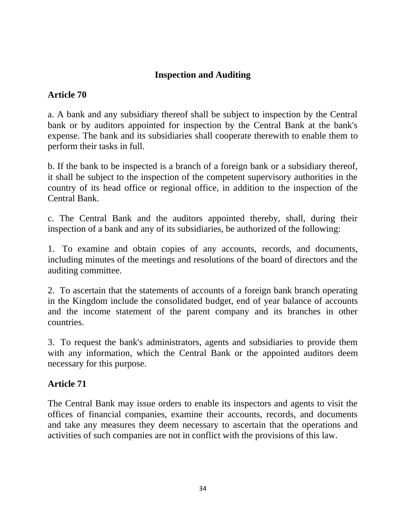#### **Inspection and Auditing**

## **Article 70**

a. A bank and any subsidiary thereof shall be subject to inspection by the Central bank or by auditors appointed for inspection by the Central Bank at the bank's expense. The bank and its subsidiaries shall cooperate therewith to enable them to perform their tasks in full.

b. If the bank to be inspected is a branch of a foreign bank or a subsidiary thereof, it shall be subject to the inspection of the competent supervisory authorities in the country of its head office or regional office, in addition to the inspection of the Central Bank.

c. The Central Bank and the auditors appointed thereby, shall, during their inspection of a bank and any of its subsidiaries, be authorized of the following:

1. To examine and obtain copies of any accounts, records, and documents, including minutes of the meetings and resolutions of the board of directors and the auditing committee.

2. To ascertain that the statements of accounts of a foreign bank branch operating in the Kingdom include the consolidated budget, end of year balance of accounts and the income statement of the parent company and its branches in other countries.

3. To request the bank's administrators, agents and subsidiaries to provide them with any information, which the Central Bank or the appointed auditors deem necessary for this purpose.

## **Article 71**

The Central Bank may issue orders to enable its inspectors and agents to visit the offices of financial companies, examine their accounts, records, and documents and take any measures they deem necessary to ascertain that the operations and activities of such companies are not in conflict with the provisions of this law.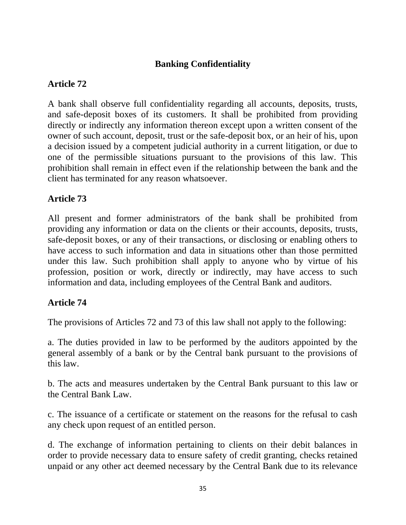#### **Banking Confidentiality**

## **Article 72**

A bank shall observe full confidentiality regarding all accounts, deposits, trusts, and safe-deposit boxes of its customers. It shall be prohibited from providing directly or indirectly any information thereon except upon a written consent of the owner of such account, deposit, trust or the safe-deposit box, or an heir of his, upon a decision issued by a competent judicial authority in a current litigation, or due to one of the permissible situations pursuant to the provisions of this law. This prohibition shall remain in effect even if the relationship between the bank and the client has terminated for any reason whatsoever.

#### **Article 73**

All present and former administrators of the bank shall be prohibited from providing any information or data on the clients or their accounts, deposits, trusts, safe-deposit boxes, or any of their transactions, or disclosing or enabling others to have access to such information and data in situations other than those permitted under this law. Such prohibition shall apply to anyone who by virtue of his profession, position or work, directly or indirectly, may have access to such information and data, including employees of the Central Bank and auditors.

#### **Article 74**

The provisions of Articles 72 and 73 of this law shall not apply to the following:

a. The duties provided in law to be performed by the auditors appointed by the general assembly of a bank or by the Central bank pursuant to the provisions of this law.

b. The acts and measures undertaken by the Central Bank pursuant to this law or the Central Bank Law.

c. The issuance of a certificate or statement on the reasons for the refusal to cash any check upon request of an entitled person.

d. The exchange of information pertaining to clients on their debit balances in order to provide necessary data to ensure safety of credit granting, checks retained unpaid or any other act deemed necessary by the Central Bank due to its relevance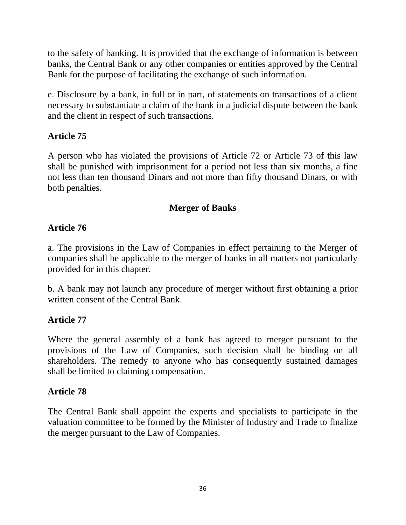to the safety of banking. It is provided that the exchange of information is between banks, the Central Bank or any other companies or entities approved by the Central Bank for the purpose of facilitating the exchange of such information.

e. Disclosure by a bank, in full or in part, of statements on transactions of a client necessary to substantiate a claim of the bank in a judicial dispute between the bank and the client in respect of such transactions.

## **Article 75**

A person who has violated the provisions of Article 72 or Article 73 of this law shall be punished with imprisonment for a period not less than six months, a fine not less than ten thousand Dinars and not more than fifty thousand Dinars, or with both penalties.

## **Merger of Banks**

## **Article 76**

a. The provisions in the Law of Companies in effect pertaining to the Merger of companies shall be applicable to the merger of banks in all matters not particularly provided for in this chapter.

b. A bank may not launch any procedure of merger without first obtaining a prior written consent of the Central Bank.

## **Article 77**

Where the general assembly of a bank has agreed to merger pursuant to the provisions of the Law of Companies, such decision shall be binding on all shareholders. The remedy to anyone who has consequently sustained damages shall be limited to claiming compensation.

## **Article 78**

The Central Bank shall appoint the experts and specialists to participate in the valuation committee to be formed by the Minister of Industry and Trade to finalize the merger pursuant to the Law of Companies.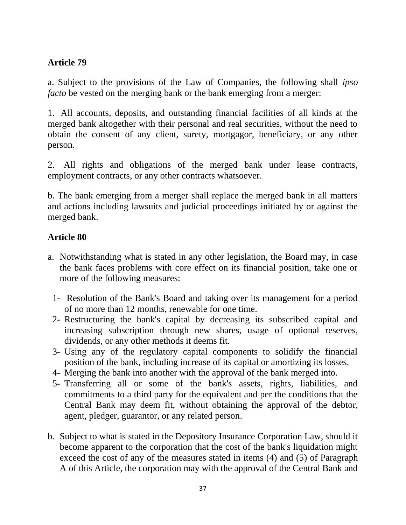## **Article 79**

a. Subject to the provisions of the Law of Companies, the following shall *ipso facto* be vested on the merging bank or the bank emerging from a merger:

1. All accounts, deposits, and outstanding financial facilities of all kinds at the merged bank altogether with their personal and real securities, without the need to obtain the consent of any client, surety, mortgagor, beneficiary, or any other person.

2. All rights and obligations of the merged bank under lease contracts, employment contracts, or any other contracts whatsoever.

b. The bank emerging from a merger shall replace the merged bank in all matters and actions including lawsuits and judicial proceedings initiated by or against the merged bank.

#### **Article 80**

- a. Notwithstanding what is stated in any other legislation, the Board may, in case the bank faces problems with core effect on its financial position, take one or more of the following measures:
	- 1- Resolution of the Bank's Board and taking over its management for a period of no more than 12 months, renewable for one time.
	- 2- Restructuring the bank's capital by decreasing its subscribed capital and increasing subscription through new shares, usage of optional reserves, dividends, or any other methods it deems fit.
	- 3- Using any of the regulatory capital components to solidify the financial position of the bank, including increase of its capital or amortizing its losses.
	- 4- Merging the bank into another with the approval of the bank merged into.
	- 5- Transferring all or some of the bank's assets, rights, liabilities, and commitments to a third party for the equivalent and per the conditions that the Central Bank may deem fit, without obtaining the approval of the debtor, agent, pledger, guarantor, or any related person.
- b. Subject to what is stated in the Depository Insurance Corporation Law, should it become apparent to the corporation that the cost of the bank's liquidation might exceed the cost of any of the measures stated in items (4) and (5) of Paragraph A of this Article, the corporation may with the approval of the Central Bank and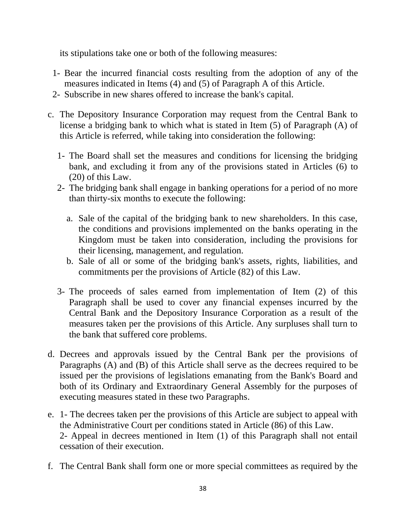its stipulations take one or both of the following measures:

- 1- Bear the incurred financial costs resulting from the adoption of any of the measures indicated in Items (4) and (5) of Paragraph A of this Article.
- 2- Subscribe in new shares offered to increase the bank's capital.
- c. The Depository Insurance Corporation may request from the Central Bank to license a bridging bank to which what is stated in Item (5) of Paragraph (A) of this Article is referred, while taking into consideration the following:
	- 1- The Board shall set the measures and conditions for licensing the bridging bank, and excluding it from any of the provisions stated in Articles (6) to (20) of this Law.
	- 2- The bridging bank shall engage in banking operations for a period of no more than thirty-six months to execute the following:
		- a. Sale of the capital of the bridging bank to new shareholders. In this case, the conditions and provisions implemented on the banks operating in the Kingdom must be taken into consideration, including the provisions for their licensing, management, and regulation.
		- b. Sale of all or some of the bridging bank's assets, rights, liabilities, and commitments per the provisions of Article (82) of this Law.
	- 3- The proceeds of sales earned from implementation of Item (2) of this Paragraph shall be used to cover any financial expenses incurred by the Central Bank and the Depository Insurance Corporation as a result of the measures taken per the provisions of this Article. Any surpluses shall turn to the bank that suffered core problems.
- d. Decrees and approvals issued by the Central Bank per the provisions of Paragraphs (A) and (B) of this Article shall serve as the decrees required to be issued per the provisions of legislations emanating from the Bank's Board and both of its Ordinary and Extraordinary General Assembly for the purposes of executing measures stated in these two Paragraphs.
- e. 1- The decrees taken per the provisions of this Article are subject to appeal with the Administrative Court per conditions stated in Article (86) of this Law. 2- Appeal in decrees mentioned in Item (1) of this Paragraph shall not entail cessation of their execution.
- f. The Central Bank shall form one or more special committees as required by the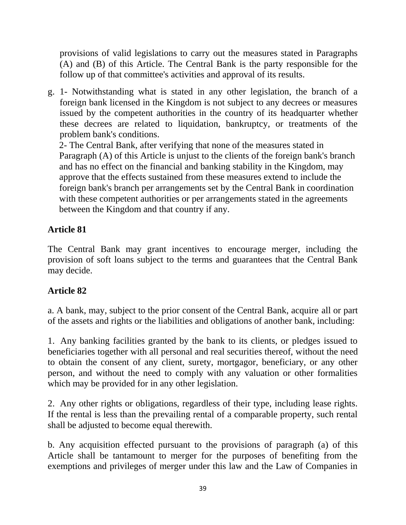provisions of valid legislations to carry out the measures stated in Paragraphs (A) and (B) of this Article. The Central Bank is the party responsible for the follow up of that committee's activities and approval of its results.

g. 1- Notwithstanding what is stated in any other legislation, the branch of a foreign bank licensed in the Kingdom is not subject to any decrees or measures issued by the competent authorities in the country of its headquarter whether these decrees are related to liquidation, bankruptcy, or treatments of the problem bank's conditions.

 2- The Central Bank, after verifying that none of the measures stated in Paragraph (A) of this Article is unjust to the clients of the foreign bank's branch and has no effect on the financial and banking stability in the Kingdom, may approve that the effects sustained from these measures extend to include the foreign bank's branch per arrangements set by the Central Bank in coordination with these competent authorities or per arrangements stated in the agreements between the Kingdom and that country if any.

## **Article 81**

The Central Bank may grant incentives to encourage merger, including the provision of soft loans subject to the terms and guarantees that the Central Bank may decide.

## **Article 82**

a. A bank, may, subject to the prior consent of the Central Bank, acquire all or part of the assets and rights or the liabilities and obligations of another bank, including:

1. Any banking facilities granted by the bank to its clients, or pledges issued to beneficiaries together with all personal and real securities thereof, without the need to obtain the consent of any client, surety, mortgagor, beneficiary, or any other person, and without the need to comply with any valuation or other formalities which may be provided for in any other legislation.

2. Any other rights or obligations, regardless of their type, including lease rights. If the rental is less than the prevailing rental of a comparable property, such rental shall be adjusted to become equal therewith.

b. Any acquisition effected pursuant to the provisions of paragraph (a) of this Article shall be tantamount to merger for the purposes of benefiting from the exemptions and privileges of merger under this law and the Law of Companies in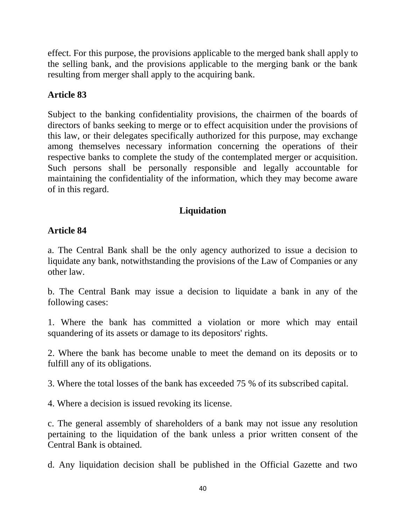effect. For this purpose, the provisions applicable to the merged bank shall apply to the selling bank, and the provisions applicable to the merging bank or the bank resulting from merger shall apply to the acquiring bank.

## **Article 83**

Subject to the banking confidentiality provisions, the chairmen of the boards of directors of banks seeking to merge or to effect acquisition under the provisions of this law, or their delegates specifically authorized for this purpose, may exchange among themselves necessary information concerning the operations of their respective banks to complete the study of the contemplated merger or acquisition. Such persons shall be personally responsible and legally accountable for maintaining the confidentiality of the information, which they may become aware of in this regard.

## **Liquidation**

#### **Article 84**

a. The Central Bank shall be the only agency authorized to issue a decision to liquidate any bank, notwithstanding the provisions of the Law of Companies or any other law.

b. The Central Bank may issue a decision to liquidate a bank in any of the following cases:

1. Where the bank has committed a violation or more which may entail squandering of its assets or damage to its depositors' rights.

2. Where the bank has become unable to meet the demand on its deposits or to fulfill any of its obligations.

3. Where the total losses of the bank has exceeded 75 % of its subscribed capital.

4. Where a decision is issued revoking its license.

c. The general assembly of shareholders of a bank may not issue any resolution pertaining to the liquidation of the bank unless a prior written consent of the Central Bank is obtained.

d. Any liquidation decision shall be published in the Official Gazette and two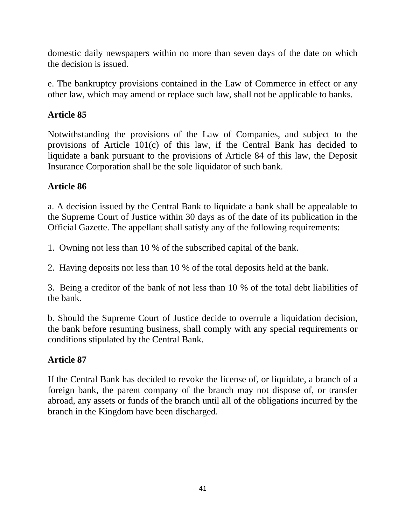domestic daily newspapers within no more than seven days of the date on which the decision is issued.

e. The bankruptcy provisions contained in the Law of Commerce in effect or any other law, which may amend or replace such law, shall not be applicable to banks.

## **Article 85**

Notwithstanding the provisions of the Law of Companies, and subject to the provisions of Article 101(c) of this law, if the Central Bank has decided to liquidate a bank pursuant to the provisions of Article 84 of this law, the Deposit Insurance Corporation shall be the sole liquidator of such bank.

## **Article 86**

a. A decision issued by the Central Bank to liquidate a bank shall be appealable to the Supreme Court of Justice within 30 days as of the date of its publication in the Official Gazette. The appellant shall satisfy any of the following requirements:

1. Owning not less than 10 % of the subscribed capital of the bank.

2. Having deposits not less than 10 % of the total deposits held at the bank.

3. Being a creditor of the bank of not less than 10 % of the total debt liabilities of the bank.

b. Should the Supreme Court of Justice decide to overrule a liquidation decision, the bank before resuming business, shall comply with any special requirements or conditions stipulated by the Central Bank.

# **Article 87**

If the Central Bank has decided to revoke the license of, or liquidate, a branch of a foreign bank, the parent company of the branch may not dispose of, or transfer abroad, any assets or funds of the branch until all of the obligations incurred by the branch in the Kingdom have been discharged.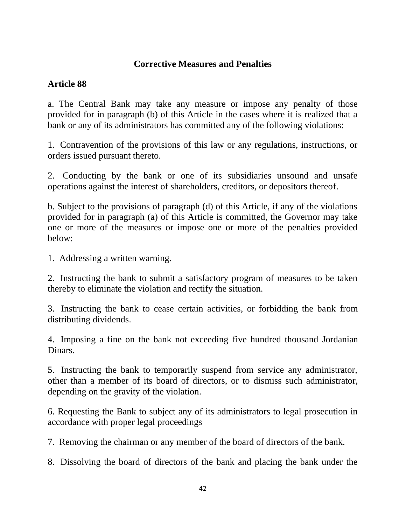#### **Corrective Measures and Penalties**

#### **Article 88**

a. The Central Bank may take any measure or impose any penalty of those provided for in paragraph (b) of this Article in the cases where it is realized that a bank or any of its administrators has committed any of the following violations:

1. Contravention of the provisions of this law or any regulations, instructions, or orders issued pursuant thereto.

2. Conducting by the bank or one of its subsidiaries unsound and unsafe operations against the interest of shareholders, creditors, or depositors thereof.

b. Subject to the provisions of paragraph (d) of this Article, if any of the violations provided for in paragraph (a) of this Article is committed, the Governor may take one or more of the measures or impose one or more of the penalties provided below:

1. Addressing a written warning.

2. Instructing the bank to submit a satisfactory program of measures to be taken thereby to eliminate the violation and rectify the situation.

3. Instructing the bank to cease certain activities, or forbidding the bank from distributing dividends.

4. Imposing a fine on the bank not exceeding five hundred thousand Jordanian Dinars.

5. Instructing the bank to temporarily suspend from service any administrator, other than a member of its board of directors, or to dismiss such administrator, depending on the gravity of the violation.

6. Requesting the Bank to subject any of its administrators to legal prosecution in accordance with proper legal proceedings

7. Removing the chairman or any member of the board of directors of the bank.

8. Dissolving the board of directors of the bank and placing the bank under the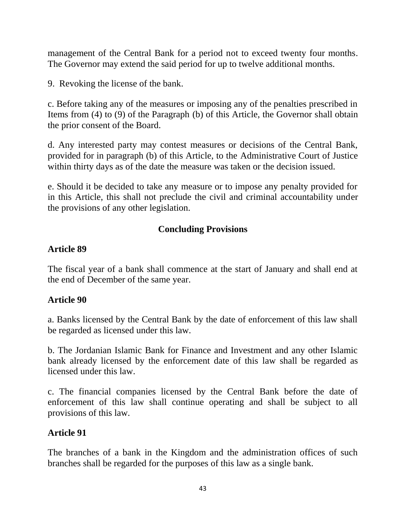management of the Central Bank for a period not to exceed twenty four months. The Governor may extend the said period for up to twelve additional months.

9. Revoking the license of the bank.

c. Before taking any of the measures or imposing any of the penalties prescribed in Items from (4) to (9) of the Paragraph (b) of this Article, the Governor shall obtain the prior consent of the Board.

d. Any interested party may contest measures or decisions of the Central Bank, provided for in paragraph (b) of this Article, to the Administrative Court of Justice within thirty days as of the date the measure was taken or the decision issued.

e. Should it be decided to take any measure or to impose any penalty provided for in this Article, this shall not preclude the civil and criminal accountability under the provisions of any other legislation.

## **Concluding Provisions**

#### **Article 89**

The fiscal year of a bank shall commence at the start of January and shall end at the end of December of the same year.

#### **Article 90**

a. Banks licensed by the Central Bank by the date of enforcement of this law shall be regarded as licensed under this law.

b. The Jordanian Islamic Bank for Finance and Investment and any other Islamic bank already licensed by the enforcement date of this law shall be regarded as licensed under this law.

c. The financial companies licensed by the Central Bank before the date of enforcement of this law shall continue operating and shall be subject to all provisions of this law.

#### **Article 91**

The branches of a bank in the Kingdom and the administration offices of such branches shall be regarded for the purposes of this law as a single bank.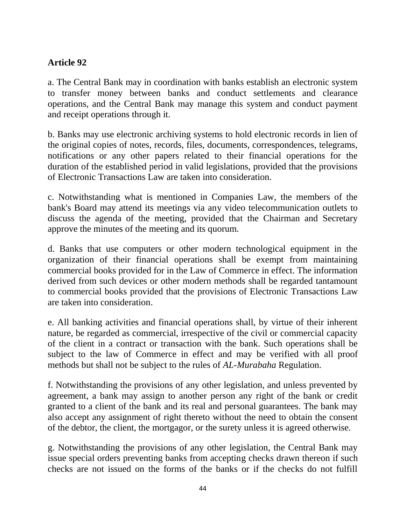## **Article 92**

a. The Central Bank may in coordination with banks establish an electronic system to transfer money between banks and conduct settlements and clearance operations, and the Central Bank may manage this system and conduct payment and receipt operations through it.

b. Banks may use electronic archiving systems to hold electronic records in lien of the original copies of notes, records, files, documents, correspondences, telegrams, notifications or any other papers related to their financial operations for the duration of the established period in valid legislations, provided that the provisions of Electronic Transactions Law are taken into consideration.

c. Notwithstanding what is mentioned in Companies Law, the members of the bank's Board may attend its meetings via any video telecommunication outlets to discuss the agenda of the meeting, provided that the Chairman and Secretary approve the minutes of the meeting and its quorum.

d. Banks that use computers or other modern technological equipment in the organization of their financial operations shall be exempt from maintaining commercial books provided for in the Law of Commerce in effect. The information derived from such devices or other modern methods shall be regarded tantamount to commercial books provided that the provisions of Electronic Transactions Law are taken into consideration.

e. All banking activities and financial operations shall, by virtue of their inherent nature, be regarded as commercial, irrespective of the civil or commercial capacity of the client in a contract or transaction with the bank. Such operations shall be subject to the law of Commerce in effect and may be verified with all proof methods but shall not be subject to the rules of *AL-Murabaha* Regulation.

f. Notwithstanding the provisions of any other legislation, and unless prevented by agreement, a bank may assign to another person any right of the bank or credit granted to a client of the bank and its real and personal guarantees. The bank may also accept any assignment of right thereto without the need to obtain the consent of the debtor, the client, the mortgagor, or the surety unless it is agreed otherwise.

g. Notwithstanding the provisions of any other legislation, the Central Bank may issue special orders preventing banks from accepting checks drawn thereon if such checks are not issued on the forms of the banks or if the checks do not fulfill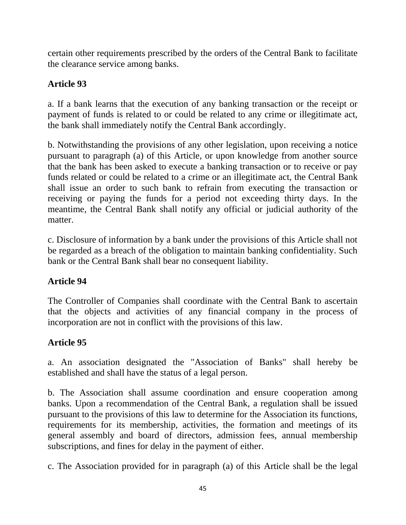certain other requirements prescribed by the orders of the Central Bank to facilitate the clearance service among banks.

## **Article 93**

a. If a bank learns that the execution of any banking transaction or the receipt or payment of funds is related to or could be related to any crime or illegitimate act, the bank shall immediately notify the Central Bank accordingly.

b. Notwithstanding the provisions of any other legislation, upon receiving a notice pursuant to paragraph (a) of this Article, or upon knowledge from another source that the bank has been asked to execute a banking transaction or to receive or pay funds related or could be related to a crime or an illegitimate act, the Central Bank shall issue an order to such bank to refrain from executing the transaction or receiving or paying the funds for a period not exceeding thirty days. In the meantime, the Central Bank shall notify any official or judicial authority of the matter.

c. Disclosure of information by a bank under the provisions of this Article shall not be regarded as a breach of the obligation to maintain banking confidentiality. Such bank or the Central Bank shall bear no consequent liability.

# **Article 94**

The Controller of Companies shall coordinate with the Central Bank to ascertain that the objects and activities of any financial company in the process of incorporation are not in conflict with the provisions of this law.

# **Article 95**

a. An association designated the "Association of Banks" shall hereby be established and shall have the status of a legal person.

b. The Association shall assume coordination and ensure cooperation among banks. Upon a recommendation of the Central Bank, a regulation shall be issued pursuant to the provisions of this law to determine for the Association its functions, requirements for its membership, activities, the formation and meetings of its general assembly and board of directors, admission fees, annual membership subscriptions, and fines for delay in the payment of either.

c. The Association provided for in paragraph (a) of this Article shall be the legal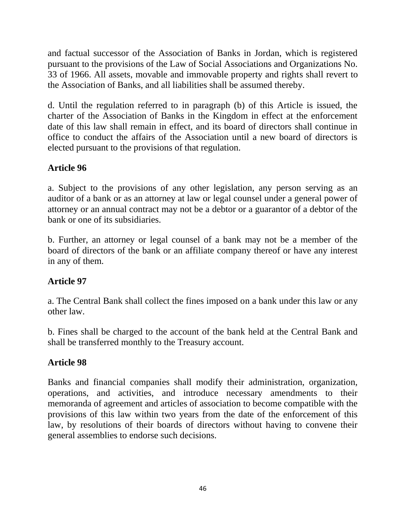and factual successor of the Association of Banks in Jordan, which is registered pursuant to the provisions of the Law of Social Associations and Organizations No. 33 of 1966. All assets, movable and immovable property and rights shall revert to the Association of Banks, and all liabilities shall be assumed thereby.

d. Until the regulation referred to in paragraph (b) of this Article is issued, the charter of the Association of Banks in the Kingdom in effect at the enforcement date of this law shall remain in effect, and its board of directors shall continue in office to conduct the affairs of the Association until a new board of directors is elected pursuant to the provisions of that regulation.

## **Article 96**

a. Subject to the provisions of any other legislation, any person serving as an auditor of a bank or as an attorney at law or legal counsel under a general power of attorney or an annual contract may not be a debtor or a guarantor of a debtor of the bank or one of its subsidiaries.

b. Further, an attorney or legal counsel of a bank may not be a member of the board of directors of the bank or an affiliate company thereof or have any interest in any of them.

## **Article 97**

a. The Central Bank shall collect the fines imposed on a bank under this law or any other law.

b. Fines shall be charged to the account of the bank held at the Central Bank and shall be transferred monthly to the Treasury account.

#### **Article 98**

Banks and financial companies shall modify their administration, organization, operations, and activities, and introduce necessary amendments to their memoranda of agreement and articles of association to become compatible with the provisions of this law within two years from the date of the enforcement of this law, by resolutions of their boards of directors without having to convene their general assemblies to endorse such decisions.